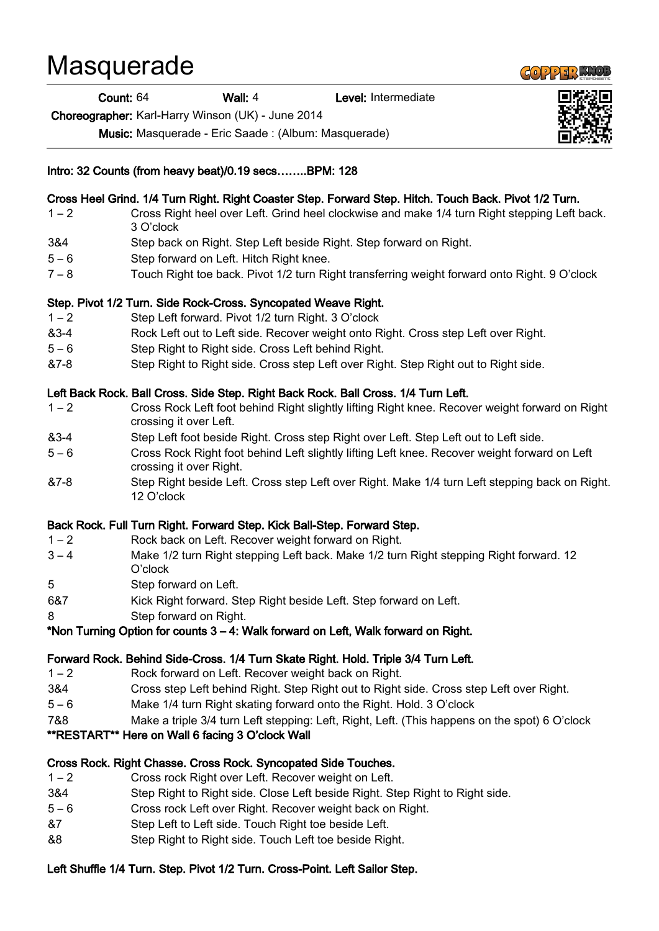# **Masquerade**

Count: 64 Wall: 4 Level: Intermediate

Choreographer: Karl-Harry Winson (UK) - June 2014

Music: Masquerade - Eric Saade : (Album: Masquerade)

#### Intro: 32 Counts (from heavy beat)/0.19 secs……..BPM: 128

#### Cross Heel Grind. 1/4 Turn Right. Right Coaster Step. Forward Step. Hitch. Touch Back. Pivot 1/2 Turn.

- 1 2 Cross Right heel over Left. Grind heel clockwise and make 1/4 turn Right stepping Left back. 3 O'clock
- 3&4 Step back on Right. Step Left beside Right. Step forward on Right.
- 5 6 Step forward on Left. Hitch Right knee.
- 7 8 Touch Right toe back. Pivot 1/2 turn Right transferring weight forward onto Right. 9 O'clock

#### Step. Pivot 1/2 Turn. Side Rock-Cross. Syncopated Weave Right.

- 1 2 Step Left forward. Pivot 1/2 turn Right. 3 O'clock
- &3-4 Rock Left out to Left side. Recover weight onto Right. Cross step Left over Right.
- 5 6 Step Right to Right side. Cross Left behind Right.
- &7-8 Step Right to Right side. Cross step Left over Right. Step Right out to Right side.

## Left Back Rock. Ball Cross. Side Step. Right Back Rock. Ball Cross. 1/4 Turn Left.

- 1 2 Cross Rock Left foot behind Right slightly lifting Right knee. Recover weight forward on Right crossing it over Left.
- &3-4 Step Left foot beside Right. Cross step Right over Left. Step Left out to Left side.
- 5 6 Cross Rock Right foot behind Left slightly lifting Left knee. Recover weight forward on Left crossing it over Right.
- &7-8 Step Right beside Left. Cross step Left over Right. Make 1/4 turn Left stepping back on Right. 12 O'clock

#### Back Rock. Full Turn Right. Forward Step. Kick Ball-Step. Forward Step.

- 1 2 Rock back on Left. Recover weight forward on Right.
- 3 4 Make 1/2 turn Right stepping Left back. Make 1/2 turn Right stepping Right forward. 12 O'clock
- 5 Step forward on Left.
- 6&7 Kick Right forward. Step Right beside Left. Step forward on Left.
- 8 Step forward on Right.

## \*Non Turning Option for counts 3 – 4: Walk forward on Left, Walk forward on Right.

## Forward Rock. Behind Side-Cross. 1/4 Turn Skate Right. Hold. Triple 3/4 Turn Left.

- 1 2 Rock forward on Left. Recover weight back on Right.
- 3&4 Cross step Left behind Right. Step Right out to Right side. Cross step Left over Right.
- 5 6 Make 1/4 turn Right skating forward onto the Right. Hold. 3 O'clock
- 7&8 Make a triple 3/4 turn Left stepping: Left, Right, Left. (This happens on the spot) 6 O'clock

## \*\*RESTART\*\* Here on Wall 6 facing 3 O'clock Wall

#### Cross Rock. Right Chasse. Cross Rock. Syncopated Side Touches.

- 1 2 Cross rock Right over Left. Recover weight on Left.
- 3&4 Step Right to Right side. Close Left beside Right. Step Right to Right side.
- 5 6 Cross rock Left over Right. Recover weight back on Right.
- &7 Step Left to Left side. Touch Right toe beside Left.
- &8 Step Right to Right side. Touch Left toe beside Right.

## Left Shuffle 1/4 Turn. Step. Pivot 1/2 Turn. Cross-Point. Left Sailor Step.